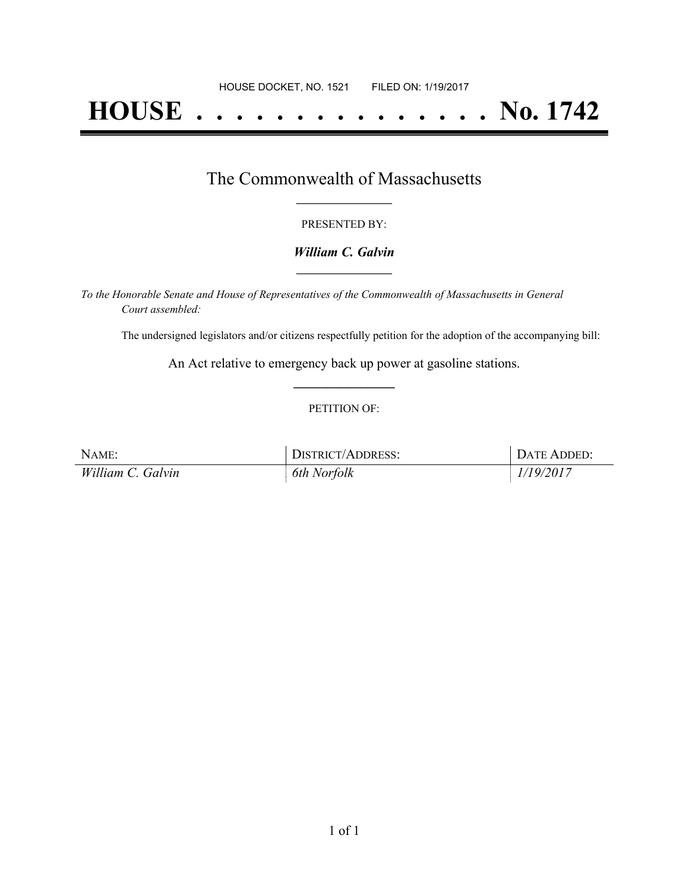# **HOUSE . . . . . . . . . . . . . . . No. 1742**

## The Commonwealth of Massachusetts **\_\_\_\_\_\_\_\_\_\_\_\_\_\_\_\_\_**

#### PRESENTED BY:

#### *William C. Galvin* **\_\_\_\_\_\_\_\_\_\_\_\_\_\_\_\_\_**

*To the Honorable Senate and House of Representatives of the Commonwealth of Massachusetts in General Court assembled:*

The undersigned legislators and/or citizens respectfully petition for the adoption of the accompanying bill:

An Act relative to emergency back up power at gasoline stations. **\_\_\_\_\_\_\_\_\_\_\_\_\_\_\_**

#### PETITION OF:

| NAME:             | DISTRICT/ADDRESS: | DATE ADDED: |
|-------------------|-------------------|-------------|
| William C. Galvin | 6th Norfolk       | 1/19/2017   |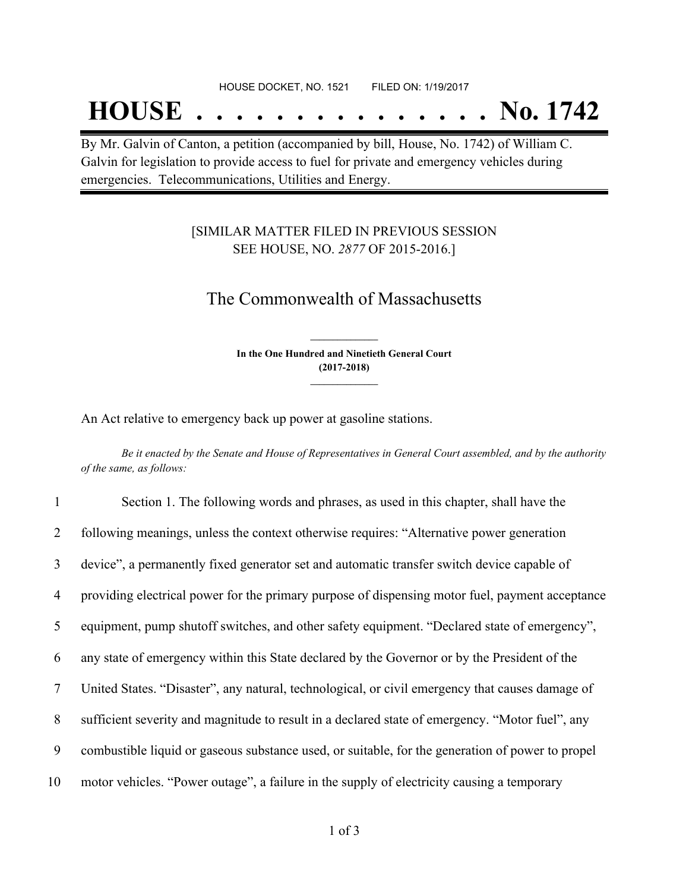## **HOUSE . . . . . . . . . . . . . . . No. 1742**

By Mr. Galvin of Canton, a petition (accompanied by bill, House, No. 1742) of William C. Galvin for legislation to provide access to fuel for private and emergency vehicles during emergencies. Telecommunications, Utilities and Energy.

### [SIMILAR MATTER FILED IN PREVIOUS SESSION SEE HOUSE, NO. *2877* OF 2015-2016.]

## The Commonwealth of Massachusetts

**In the One Hundred and Ninetieth General Court (2017-2018) \_\_\_\_\_\_\_\_\_\_\_\_\_\_\_**

**\_\_\_\_\_\_\_\_\_\_\_\_\_\_\_**

An Act relative to emergency back up power at gasoline stations.

Be it enacted by the Senate and House of Representatives in General Court assembled, and by the authority *of the same, as follows:*

| 1  | Section 1. The following words and phrases, as used in this chapter, shall have the              |
|----|--------------------------------------------------------------------------------------------------|
| 2  | following meanings, unless the context otherwise requires: "Alternative power generation         |
| 3  | device", a permanently fixed generator set and automatic transfer switch device capable of       |
| 4  | providing electrical power for the primary purpose of dispensing motor fuel, payment acceptance  |
| 5  | equipment, pump shutoff switches, and other safety equipment. "Declared state of emergency",     |
| 6  | any state of emergency within this State declared by the Governor or by the President of the     |
| 7  | United States. "Disaster", any natural, technological, or civil emergency that causes damage of  |
| 8  | sufficient severity and magnitude to result in a declared state of emergency. "Motor fuel", any  |
| 9  | combustible liquid or gaseous substance used, or suitable, for the generation of power to propel |
| 10 | motor vehicles. "Power outage", a failure in the supply of electricity causing a temporary       |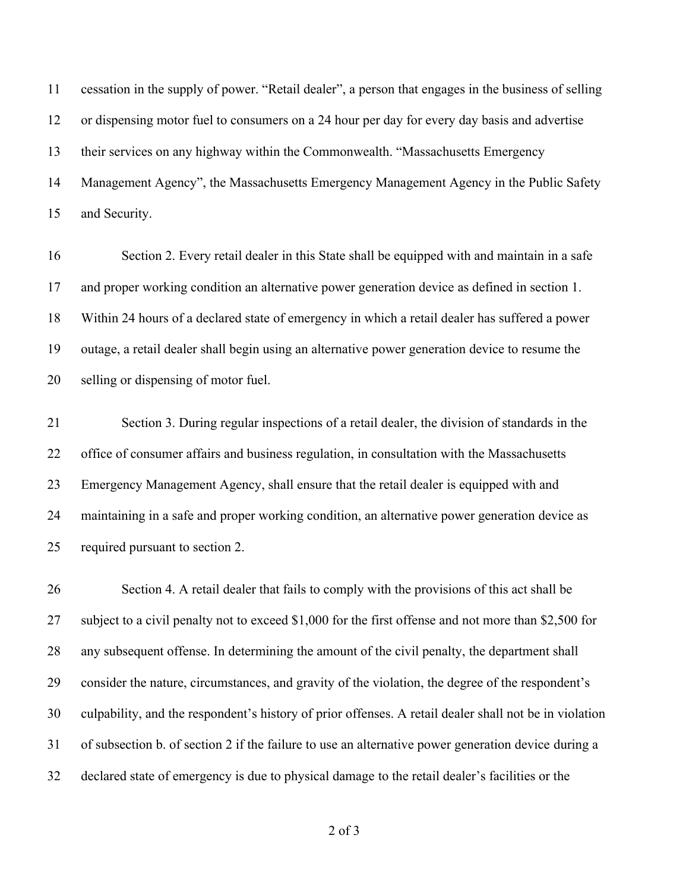cessation in the supply of power. "Retail dealer", a person that engages in the business of selling or dispensing motor fuel to consumers on a 24 hour per day for every day basis and advertise their services on any highway within the Commonwealth. "Massachusetts Emergency Management Agency", the Massachusetts Emergency Management Agency in the Public Safety and Security.

 Section 2. Every retail dealer in this State shall be equipped with and maintain in a safe and proper working condition an alternative power generation device as defined in section 1. Within 24 hours of a declared state of emergency in which a retail dealer has suffered a power outage, a retail dealer shall begin using an alternative power generation device to resume the selling or dispensing of motor fuel.

 Section 3. During regular inspections of a retail dealer, the division of standards in the 22 office of consumer affairs and business regulation, in consultation with the Massachusetts Emergency Management Agency, shall ensure that the retail dealer is equipped with and maintaining in a safe and proper working condition, an alternative power generation device as required pursuant to section 2.

 Section 4. A retail dealer that fails to comply with the provisions of this act shall be subject to a civil penalty not to exceed \$1,000 for the first offense and not more than \$2,500 for any subsequent offense. In determining the amount of the civil penalty, the department shall consider the nature, circumstances, and gravity of the violation, the degree of the respondent's culpability, and the respondent's history of prior offenses. A retail dealer shall not be in violation of subsection b. of section 2 if the failure to use an alternative power generation device during a declared state of emergency is due to physical damage to the retail dealer's facilities or the

of 3